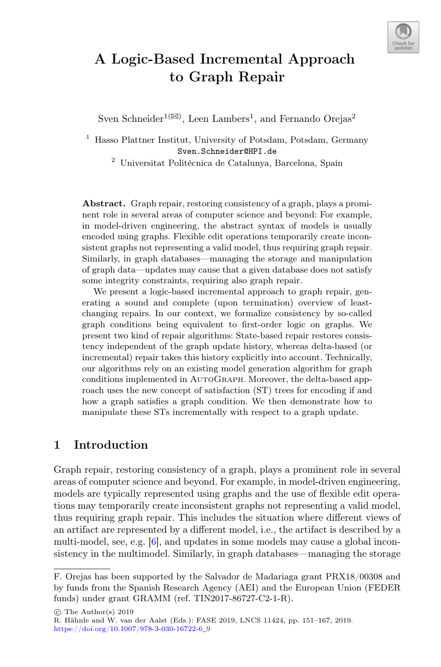

# A Logic-Based Incremental Approach to Graph Repair

Sven Schneider<sup>1( $\boxtimes$ )</sup>, Leen Lambers<sup>1</sup>, and Fernando Orejas<sup>2</sup>

<sup>1</sup> Hasso Plattner Institut, University of Potsdam, Potsdam, Germany Sven.Schneider@HPI.de

<sup>2</sup> Universitat Politècnica de Catalunya, Barcelona, Spain

Abstract. Graph repair, restoring consistency of a graph, plays a prominent role in several areas of computer science and beyond: For example, in model-driven engineering, the abstract syntax of models is usually encoded using graphs. Flexible edit operations temporarily create inconsistent graphs not representing a valid model, thus requiring graph repair. Similarly, in graph databases—managing the storage and manipulation of graph data—updates may cause that a given database does not satisfy some integrity constraints, requiring also graph repair.

We present a logic-based incremental approach to graph repair, generating a sound and complete (upon termination) overview of leastchanging repairs. In our context, we formalize consistency by so-called graph conditions being equivalent to first-order logic on graphs. We present two kind of repair algorithms: State-based repair restores consistency independent of the graph update history, whereas delta-based (or incremental) repair takes this history explicitly into account. Technically, our algorithms rely on an existing model generation algorithm for graph conditions implemented in AUTOGRAPH. Moreover, the delta-based approach uses the new concept of satisfaction (ST) trees for encoding if and how a graph satisfies a graph condition. We then demonstrate how to manipulate these STs incrementally with respect to a graph update.

## <span id="page-0-0"></span>1 Introduction

Graph repair, restoring consistency of a graph, plays a prominent role in several areas of computer science and beyond. For example, in model-driven engineering, models are typically represented using graphs and the use of flexible edit operations may temporarily create inconsistent graphs not representing a valid model, thus requiring graph repair. This includes the situation where different views of an artifact are represented by a different model, i.e., the artifact is described by a multi-model, see, e.g. [\[6\]](#page-15-0), and updates in some models may cause a global inconsistency in the multimodel. Similarly, in graph databases—managing the storage

F. Orejas has been supported by the Salvador de Madariaga grant PRX18/00308 and by funds from the Spanish Research Agency (AEI) and the European Union (FEDER funds) under grant GRAMM (ref. TIN2017-86727-C2-1-R).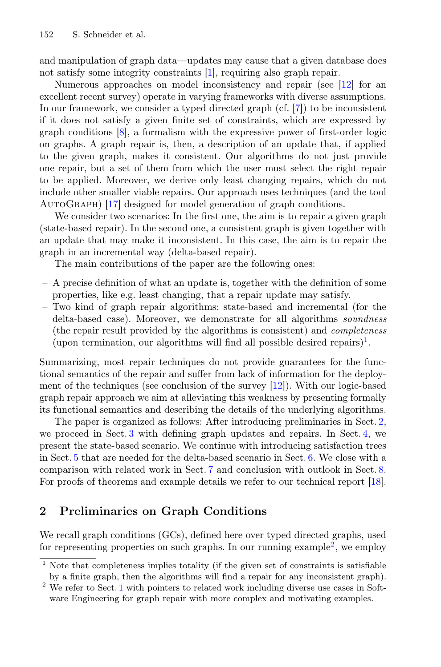and manipulation of graph data—updates may cause that a given database does not satisfy some integrity constraints [\[1\]](#page-15-1), requiring also graph repair.

Numerous approaches on model inconsistency and repair (see [\[12](#page-16-0)] for an excellent recent survey) operate in varying frameworks with diverse assumptions. In our framework, we consider a typed directed graph (cf. [\[7](#page-15-2)]) to be inconsistent if it does not satisfy a given finite set of constraints, which are expressed by graph conditions [\[8\]](#page-15-3), a formalism with the expressive power of first-order logic on graphs. A graph repair is, then, a description of an update that, if applied to the given graph, makes it consistent. Our algorithms do not just provide one repair, but a set of them from which the user must select the right repair to be applied. Moreover, we derive only least changing repairs, which do not include other smaller viable repairs. Our approach uses techniques (and the tool AUTOGRAPH) [\[17\]](#page-16-1) designed for model generation of graph conditions.

We consider two scenarios: In the first one, the aim is to repair a given graph (state-based repair). In the second one, a consistent graph is given together with an update that may make it inconsistent. In this case, the aim is to repair the graph in an incremental way (delta-based repair).

The main contributions of the paper are the following ones:

- A precise definition of what an update is, together with the definition of some properties, like e.g. least changing, that a repair update may satisfy.
- Two kind of graph repair algorithms: state-based and incremental (for the delta-based case). Moreover, we demonstrate for all algorithms *soundness* (the repair result provided by the algorithms is consistent) and *completeness* (upon termination, our algorithms will find all possible desired repairs)<sup>[1](#page-1-0)</sup>.

Summarizing, most repair techniques do not provide guarantees for the functional semantics of the repair and suffer from lack of information for the deployment of the techniques (see conclusion of the survey [\[12\]](#page-16-0)). With our logic-based graph repair approach we aim at alleviating this weakness by presenting formally its functional semantics and describing the details of the underlying algorithms.

The paper is organized as follows: After introducing preliminaries in Sect. [2,](#page-1-1) we proceed in Sect. [3](#page-3-0) with defining graph updates and repairs. In Sect. [4,](#page-4-0) we present the state-based scenario. We continue with introducing satisfaction trees in Sect. [5](#page-5-0) that are needed for the delta-based scenario in Sect. [6.](#page-9-0) We close with a comparison with related work in Sect. [7](#page-14-0) and conclusion with outlook in Sect. [8.](#page-14-1) For proofs of theorems and example details we refer to our technical report [\[18\]](#page-16-2).

### <span id="page-1-1"></span>2 Preliminaries on Graph Conditions

We recall graph conditions (GCs), defined here over typed directed graphs, used for representing properties on such graphs. In our running example<sup>[2](#page-1-2)</sup>, we employ

<span id="page-1-0"></span><sup>&</sup>lt;sup>1</sup> Note that completeness implies totality (if the given set of constraints is satisfiable by a finite graph, then the algorithms will find a repair for any inconsistent graph).

<span id="page-1-2"></span> $2$  We refer to Sect. [1](#page-0-0) with pointers to related work including diverse use cases in Software Engineering for graph repair with more complex and motivating examples.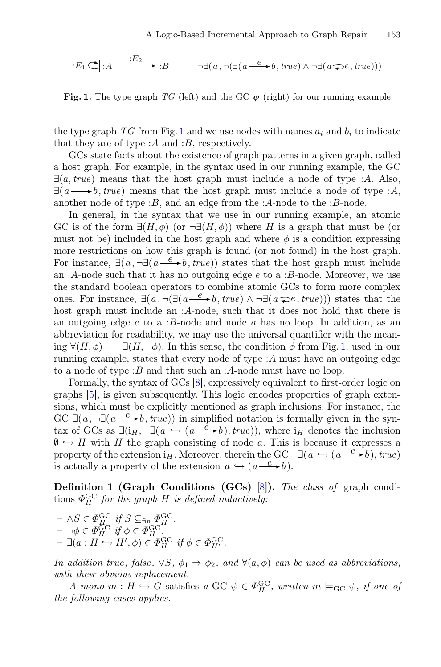$$
:E_1 \subset \boxed{\cdot A} \xrightarrow{\cdot E_2} \cdot \boxed{\cdot B} \qquad \neg \exists (a, \neg (\exists (a \xrightarrow{e} b, true) \land \neg \exists (a \bigcirc e, true)))
$$

<span id="page-2-0"></span>Fig. 1. The type graph *TG* (left) and the GC  $\psi$  (right) for our running example

the type graph  $TG$  from Fig. [1](#page-2-0) and we use nodes with names  $a_i$  and  $b_i$  to indicate that they are of type  $:A$  and  $:B$ , respectively.

GCs state facts about the existence of graph patterns in a given graph, called a host graph. For example, in the syntax used in our running example, the GC  $\exists (a, true)$  means that the host graph must include a node of type :A. Also,  $\exists (a \rightarrow b, true)$  means that the host graph must include a node of type :A, another node of type  $:B$ , and an edge from the  $:A$ -node to the  $:B$ -node.

In general, in the syntax that we use in our running example, an atomic GC is of the form  $\exists (H, \phi)$  (or  $\neg \exists (H, \phi)$ ) where H is a graph that must be (or must not be) included in the host graph and where  $\phi$  is a condition expressing more restrictions on how this graph is found (or not found) in the host graph. For instance,  $\exists (a, \neg \exists (a \stackrel{e}{\longrightarrow} b, true))$  states that the host graph must include an :A-node such that it has no outgoing edge  $e$  to a :B-node. Moreover, we use the standard boolean operators to combine atomic GCs to form more complex ones. For instance,  $\exists (a, \neg (\exists (a \stackrel{e}{\longrightarrow} b, true) \land \neg \exists (a \supset e, true)))$  states that the host graph must include an :A-node, such that it does not hold that there is an outgoing edge  $e$  to a :B-node and node  $a$  has no loop. In addition, as an abbreviation for readability, we may use the universal quantifier with the meaning  $\forall (H, \phi) = \neg \exists (H, \neg \phi)$ . In this sense, the condition  $\phi$  from Fig. [1,](#page-2-0) used in our running example, states that every node of type :A must have an outgoing edge to a node of type  $:B$  and that such an  $:A$ -node must have no loop.

Formally, the syntax of GCs [\[8\]](#page-15-3), expressively equivalent to first-order logic on graphs [\[5\]](#page-15-4), is given subsequently. This logic encodes properties of graph extensions, which must be explicitly mentioned as graph inclusions. For instance, the GC  $\exists (a, \neg \exists (a \stackrel{e}{\longrightarrow} b, true))$  in simplified notation is formally given in the syntax of GCs as  $\exists (i_H, \neg \exists (a \rightarrow (a - e \rightarrow b), true))$ , where  $i_H$  denotes the inclusion  $\emptyset \hookrightarrow H$  with H the graph consisting of node a. This is because it expresses a property of the extension i<sub>H</sub>. Moreover, therein the GC  $\neg \exists (a \hookrightarrow (a \xrightarrow{e} b), true)$ is actually a property of the extension  $a \hookrightarrow (a \xrightarrow{e} b)$ .

<span id="page-2-1"></span>Definition 1 (Graph Conditions (GCs) [\[8\]](#page-15-3)). *The class of* graph condi- $\Phi_H^{\rm GC}$  *for the graph*  $H$  *is defined inductively:* 

$$
\begin{aligned}\n&-\wedge S \in \Phi_H^{\rm GC} \text{ if } S \subseteq_{\text{fin}} \Phi_H^{\rm GC} \\
&-\neg \phi \in \Phi_H^{\rm GC} \text{ if } \phi \in \Phi_H^{\rm GC} \\
&-\exists (a: H \hookrightarrow H', \phi) \in \Phi_H^{\rm GC} \text{ if } \phi \in \Phi_{H'}^{\rm GC}.\n\end{aligned}
$$

*In addition true, false,*  $\vee S$ *,*  $\phi_1 \Rightarrow \phi_2$ *, and*  $\forall (a, \phi)$  *can be used as abbreviations, with their obvious replacement.*

*A* mono  $m: H \hookrightarrow G$  satisfies  $a \ GC \ \psi \in \Phi_H^{\rm GC}$ , written  $m \models_{\rm GC} \psi$ , if one of *the following cases applies.*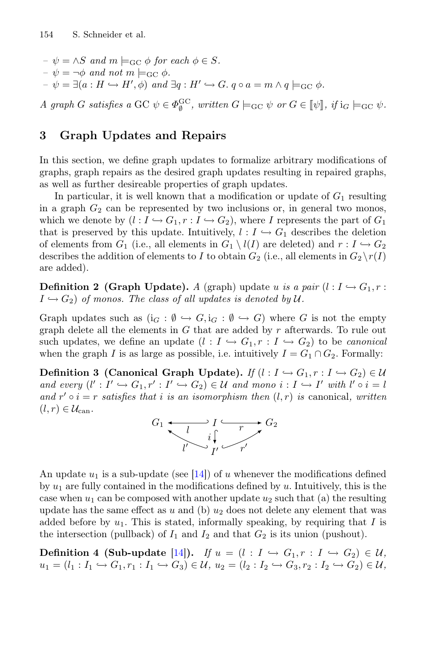$– ψ = ∧S$  *and*  $m \models$ <sub>GC</sub>  $ϕ$  *for each*  $ϕ ∈ S$ *.*  $-\psi = \neg \phi$  *and not*  $m \models_{\mathsf{GC}} \phi$ .  $-\psi = \exists (a : H \hookrightarrow H', \phi) \text{ and } \exists q : H' \hookrightarrow G. \ q \circ a = m \wedge q \models_{\mathsf{GC}} \phi.$ 

*A* graph *G* satisfies a GC  $\psi \in \Phi_{\emptyset}^{\text{GC}}$ , written  $G \models_{\text{GC}} \psi$  or  $G \in [\![\psi]\!]$ , if  $i_G \models_{\text{GC}} \psi$ .

### <span id="page-3-0"></span>3 Graph Updates and Repairs

In this section, we define graph updates to formalize arbitrary modifications of graphs, graph repairs as the desired graph updates resulting in repaired graphs, as well as further desireable properties of graph updates.

In particular, it is well known that a modification or update of  $G_1$  resulting in a graph  $G_2$  can be represented by two inclusions or, in general two monos, which we denote by  $(l : I \hookrightarrow G_1, r : I \hookrightarrow G_2)$ , where I represents the part of  $G_1$ that is preserved by this update. Intuitively,  $l : I \hookrightarrow G_1$  describes the deletion of elements from  $G_1$  (i.e., all elements in  $G_1 \setminus l(I)$  are deleted) and  $r : I \hookrightarrow G_2$ describes the addition of elements to I to obtain  $G_2$  (i.e., all elements in  $G_2 \setminus r(I)$ are added).

**Definition 2 (Graph Update).** *A* (graph) update u is a pair  $(l: I \hookrightarrow G_1, r$ :  $I \hookrightarrow G_2$  of monos. The class of all updates is denoted by  $\mathcal{U}$ .

Graph updates such as  $(i_G : \emptyset \hookrightarrow G, i_G : \emptyset \hookrightarrow G)$  where G is not the empty graph delete all the elements in  $G$  that are added by  $r$  afterwards. To rule out such updates, we define an update  $(l : I \hookrightarrow G_1, r : I \hookrightarrow G_2)$  to be *canonical* when the graph I is as large as possible, i.e. intuitively  $I = G_1 \cap G_2$ . Formally:

Definition 3 (Canonical Graph Update). *If*  $(l : I \hookrightarrow G_1, r : I \hookrightarrow G_2) \in \mathcal{U}$ *and every*  $(l' : I' \hookrightarrow G_1, r' : I' \hookrightarrow G_2) \in \mathcal{U}$  *and mono*  $i : I \hookrightarrow I'$  *with*  $l' \circ i = l$ *and*  $r' \circ i = r$  *satisfies that i is an isomorphism then*  $(l, r)$  *is canonical, written*  $(l, r) \in \mathcal{U}_{\text{can}}$ .

<span id="page-3-1"></span>

An update  $u_1$  is a sub-update (see [\[14\]](#page-16-3)) of u whenever the modifications defined by  $u_1$  are fully contained in the modifications defined by u. Intuitively, this is the case when  $u_1$  can be composed with another update  $u_2$  such that (a) the resulting update has the same effect as u and (b)  $u_2$  does not delete any element that was added before by  $u_1$ . This is stated, informally speaking, by requiring that I is the intersection (pullback) of  $I_1$  and  $I_2$  and that  $G_2$  is its union (pushout).

Definition 4 (Sub-update [\[14](#page-16-3)]). *If*  $u = (l : I \hookrightarrow G_1, r : I \hookrightarrow G_2) \in \mathcal{U}$ ,  $u_1 = (l_1 : I_1 \hookrightarrow G_1, r_1 : I_1 \hookrightarrow G_3) \in \mathcal{U}, u_2 = (l_2 : I_2 \hookrightarrow G_3, r_2 : I_2 \hookrightarrow G_2) \in \mathcal{U},$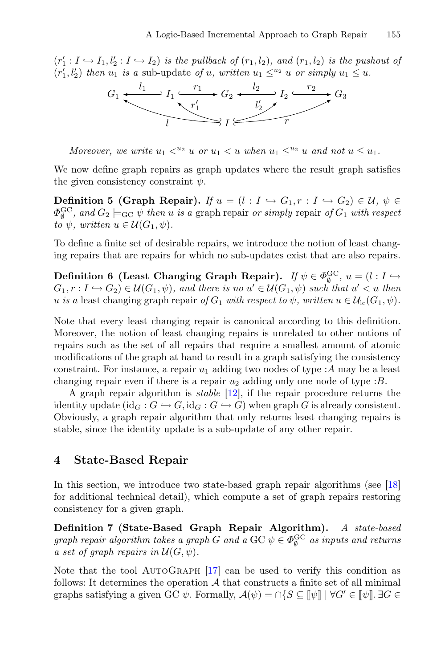$(r'_1: I \hookrightarrow I_1, l'_2: I \hookrightarrow I_2)$  *is the pullback of*  $(r_1, l_2)$ *, and*  $(r_1, l_2)$  *is the pushout of*  $(r'_1, l'_2)$  *then*  $u_1$  *is a* sub-update *of*  $u$ *, written*  $u_1 \leq u_2$  *u or simply*  $u_1 \leq u$ *.* 



*Moreover, we write*  $u_1 <sup>u_2</sup> u$  *or*  $u_1 < u$  when  $u_1 \leq u_2$  *u and not*  $u \leq u_1$ *.* 

We now define graph repairs as graph updates where the result graph satisfies the given consistency constraint  $\psi$ .

**Definition 5 (Graph Repair).** *If*  $u = (l : I \hookrightarrow G_1, r : I \hookrightarrow G_2) \in \mathcal{U}, \psi \in$  $\Phi_{0}^{\text{GC}}$ , and  $G_2 \models_{\text{GC}} \psi$  then u is a graph repair *or simply* repair *of*  $G_1$  *with respect to*  $\psi$ *, written*  $u \in \mathcal{U}(G_1, \psi)$ *.* 

To define a finite set of desirable repairs, we introduce the notion of least changing repairs that are repairs for which no sub-updates exist that are also repairs.

**Definition 6 (Least Changing Graph Repair).** *If*  $\psi \in \Phi_0^{\text{GC}}$ ,  $u = (l : I \hookrightarrow$  $G_1, r: I \hookrightarrow G_2$ )  $\in \mathcal{U}(G_1, \psi)$ , and there is no  $u' \in \mathcal{U}(G_1, \psi)$  such that  $u' < u$  then *u is a* least changing graph repair *of*  $G_1$  *with respect to*  $\psi$ *, written*  $u \in \mathcal{U}_\text{lc}(G_1, \psi)$ *.* 

Note that every least changing repair is canonical according to this definition. Moreover, the notion of least changing repairs is unrelated to other notions of repairs such as the set of all repairs that require a smallest amount of atomic modifications of the graph at hand to result in a graph satisfying the consistency constraint. For instance, a repair  $u_1$  adding two nodes of type : A may be a least changing repair even if there is a repair  $u_2$  adding only one node of type :B.

A graph repair algorithm is *stable* [\[12\]](#page-16-0), if the repair procedure returns the identity update  $(id_G : G \hookrightarrow G, id_G : G \hookrightarrow G)$  when graph G is already consistent. Obviously, a graph repair algorithm that only returns least changing repairs is stable, since the identity update is a sub-update of any other repair.

#### <span id="page-4-0"></span>4 State-Based Repair

In this section, we introduce two state-based graph repair algorithms (see [\[18\]](#page-16-2) for additional technical detail), which compute a set of graph repairs restoring consistency for a given graph.

Definition 7 (State-Based Graph Repair Algorithm). *A state-based graph repair algorithm takes a graph*  $G$  *and a*  $\overline{GC} \psi \in \Phi_{\emptyset}^{GC}$  *as inputs and returns a set of graph repairs in*  $\mathcal{U}(G,\psi)$ .

Note that the tool AUTOGRAPH [\[17](#page-16-1)] can be used to verify this condition as follows: It determines the operation  $A$  that constructs a finite set of all minimal graphs satisfying a given GC  $\psi$ . Formally,  $\mathcal{A}(\psi) = \cap \{ S \subseteq [\![\psi]\!] \mid \forall G' \in [\![\psi]\!]$ .  $\exists G \in \mathcal{A}$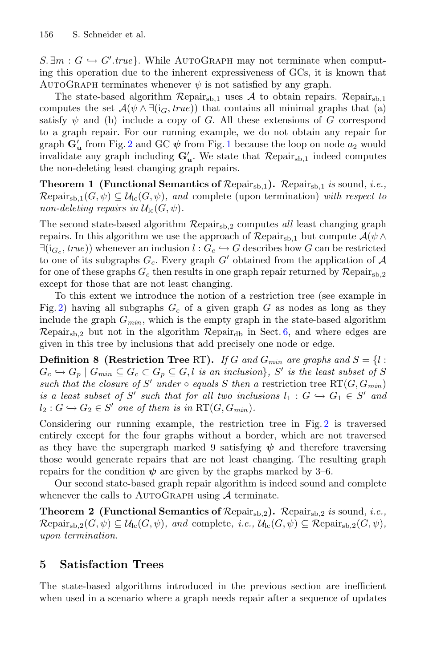$S \exists m : G \hookrightarrow G'.true$ . While AUTOGRAPH may not terminate when computing this operation due to the inherent expressiveness of GCs, it is known that AUTOGRAPH terminates whenever  $\psi$  is not satisfied by any graph.

The state-based algorithm  $\mathcal{R}$ epair<sub>sb,1</sub> uses A to obtain repairs.  $\mathcal{R}$ epair<sub>sb,1</sub> computes the set  $\mathcal{A}(\psi \wedge \exists (i_G, true))$  that contains all minimal graphs that (a) satisfy  $\psi$  and (b) include a copy of G. All these extensions of G correspond to a graph repair. For our running example, we do not obtain any repair for graph  $\mathbf{G}'_{\mathbf{u}}$  from Fig. [2](#page-6-0) and GC  $\psi$  from Fig. [1](#page-2-0) because the loop on node  $a_2$  would invalidate any graph including  $\mathbf{G}'_{\mathbf{u}}$ . We state that  $\mathcal{R}$ epair<sub>sb,1</sub> indeed computes the non-deleting least changing graph repairs.

Theorem 1 (Functional Semantics of Repairsb*,*<sup>1</sup>). Repairsb*,*<sup>1</sup> *is* sound*, i.e.,*  $\mathcal{R}$ epair<sub>sb</sub>,  $(G, \psi) \subseteq \mathcal{U}_{\text{lc}}(G, \psi)$ , and complete (upon termination) *with respect to non-deleting repairs in*  $\mathcal{U}_{\text{lc}}(G, \psi)$ .

The second state-based algorithm  $\mathcal{R}$ epair<sub>sb,2</sub> computes *all* least changing graph repairs. In this algorithm we use the approach of Repair<sub>sb,1</sub> but compute  $\mathcal{A}(\psi \wedge$  $\exists (i_{G_c}, true)$ ) whenever an inclusion  $l : G_c \hookrightarrow G$  describes how G can be restricted to one of its subgraphs  $G_c$ . Every graph  $G'$  obtained from the application of  $A$ for one of these graphs  $G_c$  then results in one graph repair returned by  $\mathcal{R}$ epair<sub>sb,2</sub> except for those that are not least changing.

To this extent we introduce the notion of a restriction tree (see example in Fig. [2\)](#page-6-0) having all subgraphs  $G_c$  of a given graph  $G$  as nodes as long as they include the graph  $G_{min}$ , which is the empty graph in the state-based algorithm  $\mathcal{R}$ epair<sub>sb,2</sub> but not in the algorithm  $\mathcal{R}$ epair<sub>db</sub> in Sect. [6,](#page-9-0) and where edges are given in this tree by inclusions that add precisely one node or edge.

<span id="page-5-1"></span>**Definition 8 (Restriction Tree RT).** *If* G and  $G_{min}$  are graphs and  $S = \{l :$  $G_c \hookrightarrow G_p \mid G_{min} \subseteq G_c \subseteq G_p \subseteq G,$ l *is an inclusion*}, S' *is the least subset of* S *such that the closure of* S' *under*  $\circ$  *equals* S *then* a restriction tree RT(G,  $G_{min}$ ) *is a least subset of* S' *such that for all two inclusions*  $l_1 : G \hookrightarrow G_1 \in S'$  *and*  $l_2: G \hookrightarrow G_2 \in S'$  one of them is in  $\mathrm{RT}(G, G_{min})$ .

Considering our running example, the restriction tree in Fig. [2](#page-6-0) is traversed entirely except for the four graphs without a border, which are not traversed as they have the supergraph marked 9 satisfying  $\psi$  and therefore traversing those would generate repairs that are not least changing. The resulting graph repairs for the condition  $\psi$  are given by the graphs marked by 3–6.

Our second state-based graph repair algorithm is indeed sound and complete whenever the calls to  $\text{AuroGRAPH}$  using  $\mathcal A$  terminate.

Theorem 2 (Functional Semantics of Repairsb*,*<sup>2</sup>). Repairsb*,*<sup>2</sup> *is* sound*, i.e.,*  $\mathcal{R}$ epair<sub>sb,2</sub>(G,  $\psi$ )  $\subseteq \mathcal{U}_{lc}(G, \psi)$ , and complete, *i.e.*,  $\mathcal{U}_{lc}(G, \psi) \subseteq \mathcal{R}$ epair<sub>sb,2</sub>(G,  $\psi$ ), *upon termination.*

### <span id="page-5-0"></span>5 Satisfaction Trees

The state-based algorithms introduced in the previous section are inefficient when used in a scenario where a graph needs repair after a sequence of updates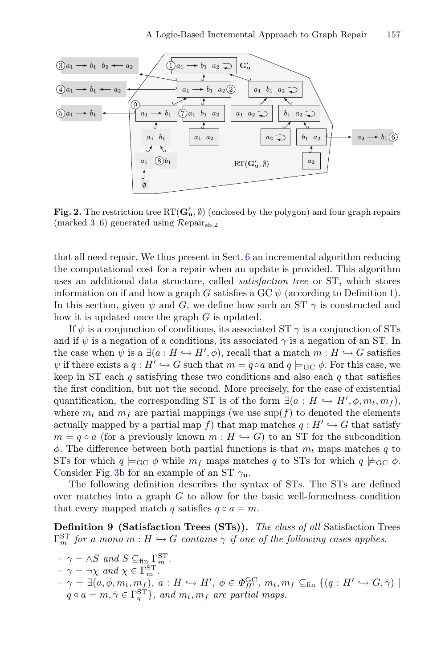

<span id="page-6-0"></span>**Fig. 2.** The restriction tree  $RT(G'_u, \emptyset)$  (enclosed by the polygon) and four graph repairs (marked 3–6) generated using Repairs (marked 3–6) generated using Repairsb*,*<sup>2</sup>

that all need repair. We thus present in Sect. [6](#page-9-0) an incremental algorithm reducing the computational cost for a repair when an update is provided. This algorithm uses an additional data structure, called *satisfaction tree* or ST, which stores information on if and how a graph G satisfies a GC  $\psi$  (according to Definition [1\)](#page-2-1). In this section, given  $\psi$  and G, we define how such an ST  $\gamma$  is constructed and how it is updated once the graph G is updated.

If  $\psi$  is a conjunction of conditions, its associated ST  $\gamma$  is a conjunction of STs and if  $\psi$  is a negation of a conditions, its associated  $\gamma$  is a negation of an ST. In the case when  $\psi$  is a  $\exists (a : H \hookrightarrow H', \phi)$ , recall that a match  $m : H \hookrightarrow G$  satisfies  $\psi$  if there exists a  $q : H' \hookrightarrow G$  such that  $m = q \circ a$  and  $q \models_{GC} \phi$ . For this case, we keep in ST each  $q$  satisfying these two conditions and also each  $q$  that satisfies the first condition, but not the second. More precisely, for the case of existential quantification, the corresponding ST is of the form  $\exists (a : H \hookrightarrow H', \phi, m_t, m_f)$ , where  $m_t$  and  $m_f$  are partial mappings (we use  $\sup(f)$  to denoted the elements actually mapped by a partial map f) that map matches  $q : H' \hookrightarrow G$  that satisfy  $m = q \circ a$  (for a previously known  $m : H \hookrightarrow G$ ) to an ST for the subcondition  $\phi$ . The difference between both partial functions is that  $m_t$  maps matches q to STs for which  $q \models_{\mathbf{GC}} \phi$  while  $m_f$  maps matches q to STs for which  $q \not\models_{\mathbf{GC}} \phi$ . Consider Fig. [3b](#page-7-0) for an example of an ST  $\gamma$ <sub>u</sub>.

The following definition describes the syntax of STs. The STs are defined over matches into a graph  $G$  to allow for the basic well-formedness condition that every mapped match q satisfies  $q \circ a = m$ .

Definition 9 (Satisfaction Trees (STs)). *The class of all* Satisfaction Trees  $\Gamma_m^{\rm ST}$  *for a mono*  $m: H \hookrightarrow G$  *contains*  $\gamma$  *if one of the following cases applies.* 

 $\gamma = \wedge S$  *and*  $S \subseteq_{fin} \Gamma_m^{\text{ST}}$ .  $-\gamma = -\chi$  *and*  $\chi \in \Gamma_m^{\text{ST}}$ .  $\gamma = \exists (a, \phi, m_t, m_f), a : H \hookrightarrow H', \ \phi \in \Phi_{H'}^{\rm GC}, m_t, m_f \subseteq_{\text{fin}} \{ (q : H' \hookrightarrow G, \overline{\gamma}) \mid$  $q \circ a = m, \bar{\gamma} \in \Gamma_q^{\text{ST}}$ , and  $m_t, m_f$  are partial maps.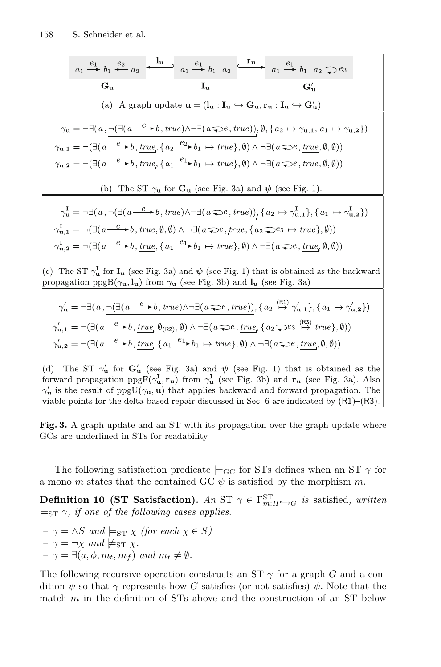$$
a_1 \xrightarrow{e_1} b_1 \xleftarrow{e_2} a_2 \xrightarrow{I_u} a_1 \xrightarrow{e_1} b_1 a_2 \xrightarrow{r_u} a_1 \xrightarrow{e_1} b_1 a_2 \xrightarrow{e_3} G_u
$$
\n
$$
G_u \qquad I_u \qquad G'_u
$$
\n(a) A graph update  $u = (l_u : I_u \hookrightarrow G_u, r_u : I_u \hookrightarrow G'_u)$ \n
$$
\gamma_{u,1} = \neg \exists (a, \neg (\exists (a \xrightarrow{e} \rightarrow b, true) \land \neg \exists (a \Rightarrow e, true)), \emptyset, \{a_2 \mapsto \gamma_{u,1}, a_1 \mapsto \gamma_{u,2}\})
$$
\n
$$
\gamma_{u,2} = \neg (\exists (a \xrightarrow{e} \rightarrow b, true, \{a_2 \xrightarrow{e_2} b_1 \mapsto true\}, \emptyset) \land \neg \exists (a \Rightarrow e, true, \emptyset, \emptyset))
$$
\n
$$
\gamma_{u,2} = \neg (\exists (a \xrightarrow{e} \rightarrow b, true, \{a_1 \xrightarrow{e_1} b_1 \mapsto true\}, \emptyset) \land \neg \exists (a \Rightarrow e, true, \emptyset, \emptyset))
$$
\n(b) The ST  $\gamma_u$  for  $G_u$  (see Fig. 3a) and  $\psi$  (see Fig. 1).\n
$$
\gamma_u^I = \neg \exists (a, \neg (\exists (a \xrightarrow{e} \rightarrow b, true \land \neg \exists (a \Rightarrow e, true)), \{a_2 \mapsto \gamma_{u,1}^I\}, \{a_1 \mapsto \gamma_{u,2}^I\})
$$
\n
$$
\gamma_{u,1}^I = \neg \exists (a, \neg (\exists (a \xrightarrow{e} \rightarrow b, true \land \neg \exists (a \Rightarrow e, true), \{a_2 \leftrightarrow \gamma_{u,1}^I\}, \{a_1 \mapsto \gamma_{u,2}^I\})
$$
\n
$$
\gamma_{u,2}^I = \neg (\exists (a \xrightarrow{e} \rightarrow b, true, \emptyset, \emptyset) \land \neg \exists (a \Rightarrow e, true), \emptyset) \land \neg \exists (a \Rightarrow e, true, \emptyset, \emptyset))
$$
\n(c) The ST  $\gamma_u^I$  for  $I_u$  (see Fig. 3a) and  $\psi$  (see

<span id="page-7-0"></span>Fig. 3. A graph update and an ST with its propagation over the graph update where GCs are underlined in STs for readability

The following satisfaction predicate  $\models$ <sub>GC</sub> for STs defines when an ST  $\gamma$  for a mono m states that the contained GC  $\psi$  is satisfied by the morphism m.

**Definition 10 (ST Satisfaction).** *An* ST  $\gamma \in \Gamma^{\text{ST}}_{m:H\rightarrow G}$  *is* satisfied, written  $\models$ <sub>ST</sub>  $\gamma$ *, if one of the following cases applies.* 

 $– γ = ∧S$  *and*  $\models$ <sub>ST</sub>  $χ$  *(for each*  $χ ∈ S$ *)*  $-\gamma = \neg \chi$  *and*  $\not\models_{ST} \chi$ .  $-\gamma = \exists (a, \phi, m_t, m_f) \text{ and } m_t \neq \emptyset.$ 

The following recursive operation constructs an ST  $\gamma$  for a graph G and a condition  $\psi$  so that  $\gamma$  represents how G satisfies (or not satisfies)  $\psi$ . Note that the match  $m$  in the definition of STs above and the construction of an ST below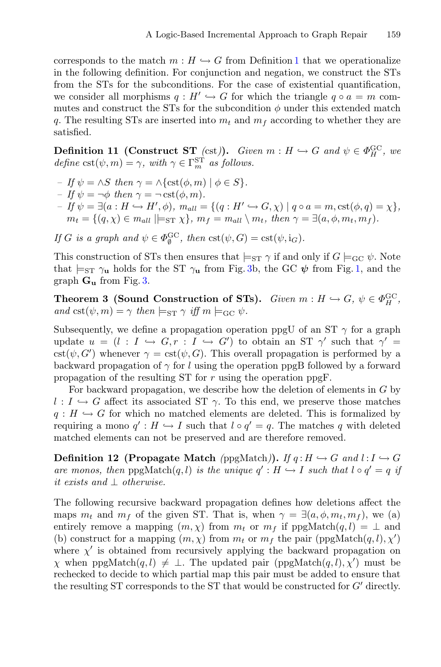corresponds to the match  $m : H \hookrightarrow G$  from Definition [1](#page-2-1) that we operationalize in the following definition. For conjunction and negation, we construct the STs from the STs for the subconditions. For the case of existential quantification, we consider all morphisms  $q : H' \hookrightarrow G$  for which the triangle  $q \circ a = m$  commutes and construct the STs for the subcondition  $\phi$  under this extended match q. The resulting STs are inserted into  $m_t$  and  $m_f$  according to whether they are satisfied.

**Definition 11** (Construct  $ST$  *(cst)*). *Given*  $m : H \hookrightarrow G$  *and*  $\psi \in \Phi_H^{\text{GC}}$ , we *define*  $\text{cst}(\psi, m) = \gamma$ *, with*  $\gamma \in \Gamma_m^{\text{ST}}$  *as follows.* 

- *If*  $\psi = \land S$  *then*  $\gamma = \land {\text{cst}}(\phi, m) \mid \phi \in S$ *.*
- *If*  $\psi = \neg \phi$  *then*  $\gamma = \neg \text{cst}(\phi, m)$ *.*
- $-If \psi = \exists (a : H \hookrightarrow H', \phi), m_{all} = \{(q : H' \hookrightarrow G, \chi) \mid q \circ a = m, \text{cst}(\phi, q) = \chi\},$  $m_t = \{(q, \chi) \in m_{all} \mid \text{arg } \chi\}, m_f = m_{all} \setminus m_t, \text{ then } \gamma = \exists (a, \phi, m_t, m_f).$

*If G is a graph and*  $\psi \in \Phi_{\emptyset}^{\text{GC}}$ , *then*  $\text{cst}(\psi, G) = \text{cst}(\psi, i_G)$ *.* 

This construction of STs then ensures that  $\models_{ST} \gamma$  if and only if  $G \models_{GC} \psi$ . Note that  $\models_{ST} \gamma_u$  holds for the ST  $\gamma_u$  from Fig. [3b](#page-7-0), the GC  $\psi$  from Fig. [1,](#page-2-0) and the graph **G<sup>u</sup>** from Fig. [3.](#page-7-0)

Theorem 3 (Sound Construction of STs). *Given*  $m : H \hookrightarrow G$ ,  $\psi \in \Phi_H^{\text{GC}}$ ,  $and \; \text{cst}(\psi, m) = \gamma \; then \; \models_{ST} \gamma \; iff \; m \; \models_{GC} \psi.$ 

Subsequently, we define a propagation operation ppgU of an ST  $\gamma$  for a graph update  $u = (l : I \hookrightarrow G, r : I \hookrightarrow G')$  to obtain an ST  $\gamma'$  such that  $\gamma' =$  $cst(\psi, G')$  whenever  $\gamma = \text{cst}(\psi, G)$ . This overall propagation is performed by a backward propagation of  $\gamma$  for l using the operation ppgB followed by a forward propagation of the resulting ST for r using the operation ppgF.

For backward propagation, we describe how the deletion of elements in  $G$  by  $l: I \hookrightarrow G$  affect its associated ST  $\gamma$ . To this end, we preserve those matches  $q : H \hookrightarrow G$  for which no matched elements are deleted. This is formalized by requiring a mono  $q' : H \hookrightarrow I$  such that  $l \circ q' = q$ . The matches q with deleted matched elements can not be preserved and are therefore removed.

Definition 12 (Propagate Match *(ppgMatch)*). *If*  $q : H \hookrightarrow G$  *and*  $l : I \hookrightarrow G$ *are monos, then* ppgMatch $(q, l)$  *is the unique*  $q' : H \hookrightarrow I$  *such that*  $l \circ q' = q$  *if it exists and* ⊥ *otherwise.*

The following recursive backward propagation defines how deletions affect the maps  $m_t$  and  $m_f$  of the given ST. That is, when  $\gamma = \exists (a, \phi, m_t, m_f)$ , we (a) entirely remove a mapping  $(m, \chi)$  from  $m_t$  or  $m_f$  if ppgMatch $(q, l) = \perp$  and (b) construct for a mapping  $(m, \chi)$  from  $m_t$  or  $m_f$  the pair (ppgMatch $(q, l), \chi'$ ) where  $\chi'$  is obtained from recursively applying the backward propagation on  $\chi$  when ppgMatch $(q, l) \neq \bot$ . The updated pair (ppgMatch $(q, l), \chi'$ ) must be rechecked to decide to which partial map this pair must be added to ensure that the resulting ST corresponds to the ST that would be constructed for  $G'$  directly.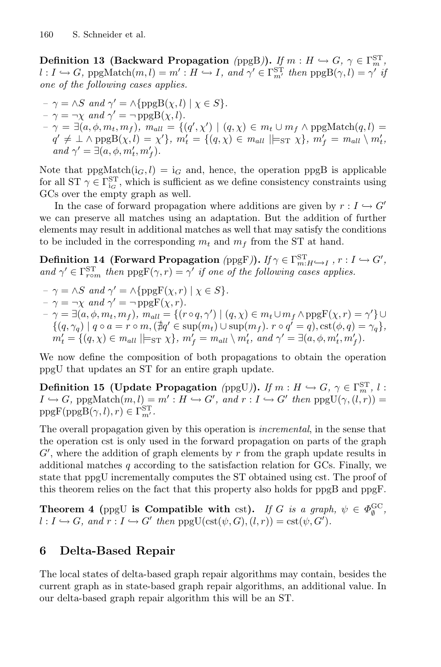Definition 13 (Backward Propagation *(ppgB)*). *If*  $m : H \hookrightarrow G$ ,  $\gamma \in \Gamma_m^{\text{ST}}$  $l: I \hookrightarrow G$ , ppgMatch $(m, l) = m' : H \hookrightarrow I$ , and  $\gamma' \in \Gamma^{\text{ST}}_{m'}$  then  $\text{ppgB}(\gamma, l) = \gamma'$  *if one of the following cases applies.*

$$
\begin{aligned}\n&-\gamma = \land S \text{ and } \gamma' = \land \{ \text{ppgB}(\chi, l) \mid \chi \in S \}. \\
&-\gamma = \neg \chi \text{ and } \gamma' = \neg \text{ppgB}(\chi, l). \\
&-\gamma = \exists (a, \phi, m_t, m_f), \ m_{all} = \{ (q', \chi') \mid (q, \chi) \in m_t \cup m_f \land \text{ppgMatch}(q, l) = q' \neq \bot \land \text{ppgB}(\chi, l) = \chi' \}, \ m'_t = \{ (q, \chi) \in m_{all} \mid \text{Fsr } \chi \}, \ m'_f = m_{all} \setminus m'_t, \\
\text{and } \gamma' = \exists (a, \phi, m'_t, m'_f).\n\end{aligned}
$$

Note that ppgMatch $(i_G, l) = i_G$  and, hence, the operation ppgB is applicable for all ST  $\gamma \in \Gamma_{i_G}^{\text{ST}}$ , which is sufficient as we define consistency constraints using GCs over the empty graph as well.

In the case of forward propagation where additions are given by  $r: I \hookrightarrow G'$ we can preserve all matches using an adaptation. But the addition of further elements may result in additional matches as well that may satisfy the conditions to be included in the corresponding  $m_t$  and  $m_f$  from the ST at hand.

**Definition 14** (Forward Propagation *(ppgF)*). *If*  $\gamma \in \Gamma_{nH \to I}^{\text{ST}}$  ,  $r : I \hookrightarrow G'$ , and  $\alpha' \in \Gamma_{nH}^{\text{ST}}$  than  $\text{preF}(\alpha, \alpha) = \alpha'$  if and of the following gases applies and  $\gamma' \in \Gamma_{\text{rom}}^{\text{ST}}$  *then*  $\text{ppgF}(\gamma, r) = \gamma'$  *if one of the following cases applies.* 

*–* γ = ∧S *and* γ = ∧{ppgF(χ, r) | χ ∈ S}*. –* γ = ¬χ *and* γ = ¬ppgF(χ, r)*. –* γ = ∃(a, φ, m*t*, m*<sup>f</sup>* )*, mall* = {(r ◦ q, γ ) | (q, χ) ∈ m*<sup>t</sup>* ∪m*<sup>f</sup>* ∧ppgF(χ, r) = γ } ∪ {(q, γ*q*) | q ◦ a = r ◦ m,(q ∈ sup(m*t*) ∪ sup(m*<sup>f</sup>* ). r ◦ q = q), cst(φ, q) = γ*q*}*,* m *<sup>t</sup>* = {(q, χ) ∈ *mall* ||=ST χ}*,* m *<sup>f</sup>* = *mall* \ m *<sup>t</sup>, and* γ = ∃(a, φ, m *t*, m *f* )*.*

We now define the composition of both propagations to obtain the operation ppgU that updates an ST for an entire graph update.

Definition 15 (Update Propagation *(ppgU)*). *If*  $m : H \hookrightarrow G$ ,  $\gamma \in \Gamma_m^{\text{ST}}$ , *l* :  $I \hookrightarrow G$ , ppgMatch $(m, l) = m' : H \hookrightarrow G'$ , and  $r : I \hookrightarrow G'$  then  $\text{ppgU}(\gamma, (l, r)) =$  $ppgF(ppgB(\gamma, l), r) \in \Gamma_{m'}^{\rm ST}$ .

The overall propagation given by this operation is *incremental*, in the sense that the operation cst is only used in the forward propagation on parts of the graph  $G'$ , where the addition of graph elements by  $r$  from the graph update results in additional matches  $q$  according to the satisfaction relation for GCs. Finally, we state that ppgU incrementally computes the ST obtained using cst. The proof of this theorem relies on the fact that this property also holds for ppgB and ppgF.

Theorem 4 (ppgU is Compatible with cst). *If* G is a graph,  $\psi \in \Phi_{\emptyset}^{\text{GC}}$ ,  $l: I \hookrightarrow G$ , and  $r: I \hookrightarrow G'$  then  $\text{ppgU}(\text{cst}(\psi, G), (l, r)) = \text{cst}(\psi, G').$ 

# <span id="page-9-0"></span>6 Delta-Based Repair

The local states of delta-based graph repair algorithms may contain, besides the current graph as in state-based graph repair algorithms, an additional value. In our delta-based graph repair algorithm this will be an ST.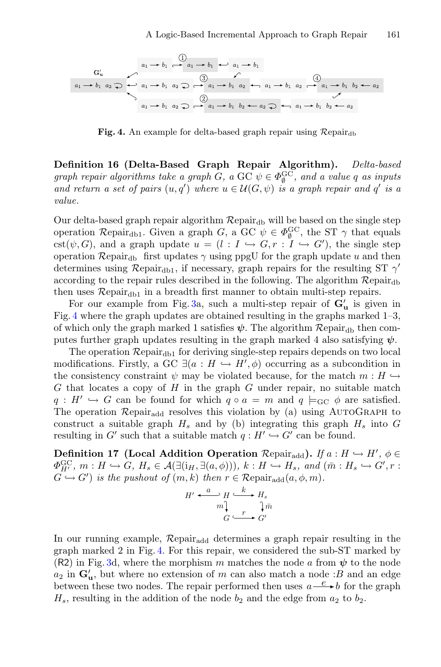$$
G'_u
$$
\n
$$
a_1 \rightarrow b_1 \xrightarrow{0} a_1 \rightarrow b_1 \xrightarrow{a_1} b_1 \xrightarrow{a_1} b_1
$$
\n
$$
a_1 \rightarrow b_1 a_2 \rightarrow a_1 \rightarrow b_1 a_2 \rightarrow a_1 \rightarrow b_1 a_2 \rightarrow a_1 \rightarrow b_1 a_2 \rightarrow a_1 \rightarrow b_1 b_2 \rightarrow a_2
$$
\n
$$
a_1 \rightarrow b_1 a_2 \rightarrow a_1 \rightarrow b_1 b_2 \rightarrow a_2 \rightarrow a_1 \rightarrow b_1 b_2 \rightarrow a_2
$$

<span id="page-10-0"></span>Fig. 4. An example for delta-based graph repair using Repair<sub>db</sub>

Definition 16 (Delta-Based Graph Repair Algorithm). *Delta-based graph repair algorithms take a graph*  $G$ ,  $a \ GC \psi \in \Phi_0^{\text{GC}}$ , and a value q as inputs *and return a set of pairs*  $(u, q')$  *where*  $u \in \mathcal{U}(G, \psi)$  *is a graph repair and*  $q'$  *is a value.*

Our delta-based graph repair algorithm  $\mathcal{R}$ epair<sub>db</sub> will be based on the single step operation Repair<sub>db1</sub>. Given a graph G, a GC  $\psi \in \Phi_0^{\text{GC}}$ , the ST  $\gamma$  that equals  $cst(\psi, G)$ , and a graph update  $u = (l : I \hookrightarrow G, r : I \hookrightarrow G')$ , the single step operation Repair<sub>db</sub> first updates  $\gamma$  using ppgU for the graph update u and then determines using  $\mathcal{R}$ epair<sub>db1</sub>, if necessary, graph repairs for the resulting ST  $\gamma'$ according to the repair rules described in the following. The algorithm  $\mathcal{R}$ epair<sub>db</sub> then uses  $\mathcal{R}$ epair<sub>db1</sub> in a breadth first manner to obtain multi-step repairs.

For our example from Fig. [3a](#page-7-0), such a multi-step repair of  $G'_{\mathbf{u}}$  is given in Fig. [4](#page-10-0) where the graph updates are obtained resulting in the graphs marked 1–3, of which only the graph marked 1 satisfies  $\psi$ . The algorithm Repair<sub>db</sub> then computes further graph updates resulting in the graph marked 4 also satisfying  $\psi$ .

The operation  $\mathcal{R}$ epair<sub>db1</sub> for deriving single-step repairs depends on two local modifications. Firstly, a GC  $\exists (a : H \hookrightarrow H', \phi)$  occurring as a subcondition in the consistency constraint  $\psi$  may be violated because, for the match  $m : H \hookrightarrow$  $G$  that locates a copy of  $H$  in the graph  $G$  under repair, no suitable match  $q : H' \hookrightarrow G$  can be found for which  $q \circ a = m$  and  $q \models_{\mathsf{GC}} \phi$  are satisfied. The operation  $\mathcal{R}$ epair<sub>add</sub> resolves this violation by (a) using AUTOGRAPH to construct a suitable graph  $H_s$  and by (b) integrating this graph  $H_s$  into G resulting in G' such that a suitable match  $q : H' \hookrightarrow G'$  can be found.

 $\text{Definition 17 (Local Addition Operation}$   $\text{Repair}_{\text{add}})$ .  $\text{If } a: H \hookrightarrow H', \phi \in \text{C}$  $\Phi_{H'}^{\text{GC}}, m : H \hookrightarrow G, H_s \in \mathcal{A}(\exists(i_H, \exists(a, \phi))), k : H \hookrightarrow H_s, \text{ and } (\bar{m} : H_s \hookrightarrow G', r :$  $G \hookrightarrow G'$  *is the pushout of*  $(m, k)$  *then*  $r \in \mathcal{R}$ epair<sub>add</sub> $(a, \phi, m)$ *.* 

$$
H' \xrightarrow{a} H \xrightarrow{k} H_s
$$

$$
m \downarrow \qquad \qquad \downarrow \bar{m}
$$

$$
G \xrightarrow{r} G'
$$

In our running example, Repairadd determines a graph repair resulting in the graph marked 2 in Fig. [4.](#page-10-0) For this repair, we considered the sub-ST marked by (R2) in Fig. [3d](#page-7-0), where the morphism m matches the node a from  $\psi$  to the node  $a_2$  in  $\mathbf{G}'_{\mathbf{u}}$ , but where no extension of m can also match a node :B and an edge between these two nodes. The repair performed then uses  $a \rightarrow b$  for the graph  $H_s$ , resulting in the addition of the node  $b_2$  and the edge from  $a_2$  to  $b_2$ .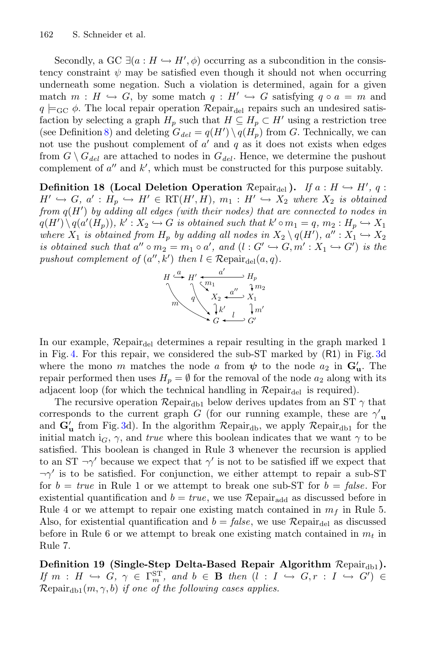Secondly, a GC  $\exists (a : H \hookrightarrow H', \phi)$  occurring as a subcondition in the consistency constraint  $\psi$  may be satisfied even though it should not when occurring underneath some negation. Such a violation is determined, again for a given match  $m : H \hookrightarrow G$ , by some match  $q : H' \hookrightarrow G$  satisfying  $q \circ a = m$  and  $q \models_{\mathsf{GC}} \phi$ . The local repair operation Repair<sub>del</sub> repairs such an undesired satisfaction by selecting a graph  $H_p$  such that  $H \subseteq H_p \subset H'$  using a restriction tree (see Definition [8\)](#page-5-1) and deleting  $G_{del} = q(H') \setminus q(H_p)$  from G. Technically, we can not use the pushout complement of  $a'$  and  $q$  as it does not exists when edges from  $G \setminus G_{del}$  are attached to nodes in  $G_{del}$ . Hence, we determine the pushout complement of  $a''$  and  $k'$ , which must be constructed for this purpose suitably.

 $\text{Definition 18 (Local Deletion Operation}$   $\text{Repair}_{\text{del}}$ ). *If*  $a: H \hookrightarrow H', q:$  $H' \hookrightarrow G, a' : H_p \hookrightarrow H' \in RT(H', H), m_1 : H' \hookrightarrow X_2$  where  $X_2$  *is obtained from* q(H ) *by adding all edges (with their nodes) that are connected to nodes in*  $q(H') \setminus q(a'(H_p)), k' : X_2 \hookrightarrow G$  *is obtained such that*  $k' \circ m_1 = q, m_2 : H_p \hookrightarrow X_1$ *where*  $X_1$  *is obtained from*  $H_p$  *by adding all nodes in*  $X_2 \setminus q(H')$ *, a* :  $X_1 \hookrightarrow X_2$ *is obtained such that*  $a'' \circ m_2 = m_1 \circ a'$ , and  $(l : G' \hookrightarrow G, m' : X_1 \hookrightarrow G')$  *is the* pushout complement of  $(a'', k')$  then  $l \in \mathcal{R}$  epair<sub>del</sub> $(a, q)$ .



In our example,  $\mathcal{R}$ epair<sub>del</sub> determines a repair resulting in the graph marked 1 in Fig. [4.](#page-10-0) For this repair, we considered the sub-ST marked by (R1) in Fig. [3d](#page-7-0) where the mono m matches the node a from  $\psi$  to the node  $a_2$  in  $\mathbf{G}'_u$ . The repair performed then uses  $H_p = \emptyset$  for the removal of the node  $a_2$  along with its adjacent loop (for which the technical handling in  $\mathcal{R}$ epair<sub>del</sub> is required).

The recursive operation  $\mathcal{R}$ epair<sub>db1</sub> below derives updates from an ST  $\gamma$  that corresponds to the current graph G (for our running example, these are  $\gamma'_\mathbf{u}$ and  $\mathbf{G}'_{\mathbf{u}}$  from Fig. [3d](#page-7-0)). In the algorithm  $\mathcal{R}$ epair<sub>db</sub>, we apply  $\mathcal{R}$ epair<sub>db1</sub> for the initial match i<sub>G</sub>,  $\gamma$ , and *true* where this boolean indicates that we want  $\gamma$  to be satisfied. This boolean is changed in Rule 3 whenever the recursion is applied to an ST  $\neg \gamma'$  because we expect that  $\gamma'$  is not to be satisfied iff we expect that  $\neg \gamma'$  is to be satisfied. For conjunction, we either attempt to repair a sub-ST for  $b = true$  in Rule 1 or we attempt to break one sub-ST for  $b = false$ . For existential quantification and  $b = true$ , we use Repair<sub>add</sub> as discussed before in Rule 4 or we attempt to repair one existing match contained in  $m_f$  in Rule 5. Also, for existential quantification and  $b = false$ , we use  $\mathcal{R}$ epair<sub>del</sub> as discussed before in Rule 6 or we attempt to break one existing match contained in  $m_t$  in Rule 7.

Definition 19 (Single-Step Delta-Based Repair Algorithm  $\mathcal{R}$ epair<sub>db1</sub>).  $I_f^f$  m :  $H \rightarrow G$ ,  $\gamma \in \Gamma_m^{\text{ST}}$ , and  $b \in \mathbf{B}$  then  $(I : I \rightarrow G, r : I \rightarrow G') \in$ Repair<sub>db1</sub> $(m, \gamma, b)$  *if one of the following cases applies.*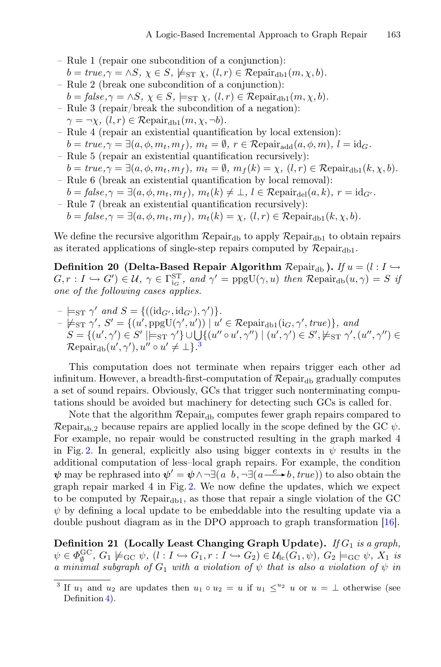- *–* Rule 1 (repair one subcondition of a conjunction):
- $b = true, \gamma = \wedge S, \ \chi \in S, \ \nvDash_{ST} \chi, \ (l, r) \in \mathcal{R}$ epair<sub>db1</sub> $(m, \chi, b)$ .
- *–* Rule 2 (break one subcondition of a conjunction):
- $b = false, \gamma = \wedge S, \chi \in S, \models_{ST} \chi, (l, r) \in \mathcal{R}$ epair<sub>db1</sub> $(m, \chi, b)$ .
- *–* Rule 3 (repair/break the subcondition of a negation):  $\gamma = \neg \chi$ ,  $(l, r) \in \mathcal{R}$ epair<sub>db1</sub> $(m, \chi, \neg b)$ .
- *–* Rule 4 (repair an existential quantification by local extension):  $b = true, \gamma = \exists (a, \phi, m_t, m_f), m_t = \emptyset, r \in \mathcal{R}$ epair<sub>add</sub> $(a, \phi, m), l = id_G$ .
- *–* Rule 5 (repair an existential quantification recursively):
- $b = true, \gamma = \exists (a, \phi, m_t, m_f), m_t = \emptyset, m_f(k) = \chi, (l, r) \in \mathcal{R}$ epair<sub>db1</sub> $(k, \chi, b)$ . *–* Rule 6 (break an existential quantification by local removal):
- $b = false, \gamma = \exists (a, \phi, m_t, m_f), m_t(k) \neq \bot, l \in \mathcal{R}$ epair<sub>del</sub> $(a, k), r = id_{G}.$
- *–* Rule 7 (break an existential quantification recursively):  $b = false, \gamma = \exists (a, \phi, m_t, m_f), m_t(k) = \chi, (l, r) \in \mathcal{R}$ epair<sub>db1</sub> $(k, \chi, b)$ .

We define the recursive algorithm  $\mathcal{R}$ epair<sub>db</sub> to apply  $\mathcal{R}$ epair<sub>db1</sub> to obtain repairs as iterated applications of single-step repairs computed by  $\mathcal{R}$ epair<sub>db1</sub>.

Definition 20 (Delta-Based Repair Algorithm Repair<sub>db</sub>). *If*  $u = (l : I \hookrightarrow$  $G, r: I \hookrightarrow G'$   $\in \mathcal{U}, \gamma \in \Gamma^{\text{ST}}_{i_G}, \text{ and } \gamma' = \text{ppgU}(\gamma, u) \text{ then } \text{Repair}_{\text{db}}(u, \gamma) = S$  *if one of the following cases applies.*

- $\models$ sr  $\gamma'$  *and*  $S = \{((id_{G'}, id_{G'}), \gamma')\}.$
- $-\not\models_{ST} \gamma', S' = \{ (u', \text{ppgU}(\gamma', u')) \mid u' \in \mathcal{R}$ epair<sub>db1</sub>(i<sub>G</sub>,  $\gamma', true$ )}, and
- $S = \{(u',\gamma') \in S' \mid \models_{\text{ST}} \gamma' \} \cup \bigcup_{\gamma} \{(u'' \circ u',\gamma'') \mid (u',\gamma') \in S', \nvdash_{\text{ST}} \gamma', (u'',\gamma'') \in S' \}$  $\mathcal{R}$ epair<sub>db</sub> $(u', \gamma'), u'' \circ u' \neq \perp$  }.<sup>[3](#page-12-0)</sup>

This computation does not terminate when repairs trigger each other ad infinitum. However, a breadth-first-computation of  $\mathcal{R}$ epair<sub>db</sub> gradually computes a set of sound repairs. Obviously, GCs that trigger such nonterminating computations should be avoided but machinery for detecting such GCs is called for.

Note that the algorithm  $\mathcal{R}$ epair<sub>db</sub> computes fewer graph repairs compared to Repair<sub>sb,2</sub> because repairs are applied locally in the scope defined by the GC  $\psi$ . For example, no repair would be constructed resulting in the graph marked 4 in Fig. [2.](#page-6-0) In general, explicitly also using bigger contexts in  $\psi$  results in the additional computation of less–local graph repairs. For example, the condition  $\psi$  may be rephrased into  $\psi' = \psi \land \neg \exists (a \ b, \neg \exists (a \stackrel{e}{\longrightarrow} b, true))$  to also obtain the graph repair marked 4 in Fig. [2.](#page-6-0) We now define the updates, which we expect to be computed by  $\mathcal{R}$ epair<sub>db1</sub>, as those that repair a single violation of the GC  $\psi$  by defining a local update to be embeddable into the resulting update via a double pushout diagram as in the DPO approach to graph transformation [\[16](#page-16-4)].

Definition 21 (Locally Least Changing Graph Update). *If*  $G_1$  *is a graph*,  $\psi \in \Phi_{\emptyset}^{\rm GC}, G_1 \not\models_{\rm GC} \psi, (l : I \hookrightarrow G_1, r : I \hookrightarrow G_2) \in \mathcal{U}_{\rm lc}(G_1, \psi), G_2 \models_{\rm GC} \psi, X_1$  *is a* minimal subgraph of  $G_1$  with a violation of  $\psi$  that is also a violation of  $\psi$  in

<span id="page-12-0"></span><sup>&</sup>lt;sup>3</sup> If  $u_1$  and  $u_2$  are updates then  $u_1 \circ u_2 = u$  if  $u_1 \leq^{u_2} u$  or  $u = \perp$  otherwise (see Definition [4\)](#page-3-1).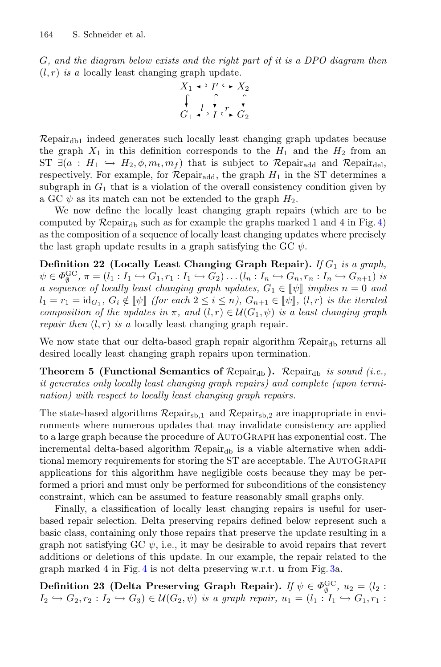G*, and the diagram below exists and the right part of it is a DPO diagram then*  $(l, r)$  *is a* locally least changing graph update.

$$
X_1 \leftrightarrow I' \hookrightarrow X_2
$$
  
\n
$$
\oint_{G_1} \bigcup_{L} \bigcap_{L} \bigcap_{C_2} \bigcap_{L} \bigcap_{L} \bigcap_{L} \bigcap_{L} \bigcap_{L} \bigcap_{L} \bigcap_{L} \bigcap_{L} \bigcap_{L} \bigcap_{L} \bigcap_{L} \bigcap_{L} \bigcap_{L} \bigcap_{L} \bigcap_{L} \bigcap_{L} \bigcap_{L} \bigcap_{L} \bigcap_{L} \bigcap_{L} \bigcap_{L} \bigcap_{L} \bigcap_{L} \bigcap_{L} \bigcap_{L} \bigcap_{L} \bigcap_{L} \bigcap_{L} \bigcap_{L} \bigcap_{L} \bigcap_{L} \bigcap_{L} \bigcap_{L} \bigcap_{L} \bigcap_{L} \bigcap_{L} \bigcap_{L} \bigcap_{L} \bigcap_{L} \bigcap_{L} \bigcap_{L} \bigcap_{L} \bigcap_{L} \bigcap_{L} \bigcap_{L} \bigcap_{L} \bigcap_{L} \bigcap_{L} \bigcap_{L} \bigcap_{L} \bigcap_{L} \bigcap_{L} \bigcap_{L} \bigcap_{L} \bigcap_{L} \bigcap_{L} \bigcap_{L} \bigcap_{L} \bigcap_{L} \bigcap_{L} \bigcap_{L} \bigcap_{L} \bigcap_{L} \bigcap_{L} \bigcap_{L} \bigcap_{L} \bigcap_{L} \bigcap_{L} \bigcap_{L} \bigcap_{L} \bigcap_{L} \bigcap_{L} \bigcap_{L} \bigcap_{L} \bigcap_{L} \bigcap_{L} \bigcap_{L} \bigcap_{L} \bigcap_{L} \bigcap_{L} \bigcap_{L} \bigcap_{L} \bigcap_{L} \bigcap_{L} \bigcap_{L} \bigcap_{L} \bigcap_{L} \bigcap_{L} \bigcap_{L} \bigcap_{L} \bigcap_{L} \bigcap_{L} \bigcap_{L} \bigcap_{L} \bigcap_{L} \bigcap_{L} \bigcap_{L} \bigcap_{L} \bigcap_{L} \bigcap_{L} \bigcap_{L} \bigcap_{L} \bigcap_{L} \bigcap_{L} \bigcap_{L} \bigcap_{L} \bigcap_{L} \bigcap_{L} \bigcap_{L} \bigcap_{L} \bigcap_{L} \bigcap_{L} \bigcap_{L} \bigcap_{L} \bigcap_{L} \bigcap_{L} \bigcap_{L} \bigcap_{L}
$$

 $\mathcal{R}$ epair<sub>db1</sub> indeed generates such locally least changing graph updates because the graph  $X_1$  in this definition corresponds to the  $H_1$  and the  $H_2$  from an ST  $\exists (a : H_1 \hookrightarrow H_2, \phi, m_t, m_f)$  that is subject to Repair<sub>add</sub> and Repair<sub>del</sub>, respectively. For example, for  $\mathcal{R}$ epair<sub>add</sub>, the graph  $H_1$  in the ST determines a subgraph in  $G_1$  that is a violation of the overall consistency condition given by a GC  $\psi$  as its match can not be extended to the graph  $H_2$ .

We now define the locally least changing graph repairs (which are to be computed by  $\mathcal{R}$ epair<sub>db</sub> such as for example the graphs marked 1 and 4 in Fig. [4\)](#page-10-0) as the composition of a sequence of locally least changing updates where precisely the last graph update results in a graph satisfying the GC  $\psi$ .

Definition 22 (Locally Least Changing Graph Repair). *If*  $G_1$  *is a graph*,  $\psi \in \Phi_{\emptyset}^{\text{GC}}, \pi = (l_1 : I_1 \hookrightarrow G_1, r_1 : I_1 \hookrightarrow \bar{G}_2) \dots (l_n : I_n \hookrightarrow \bar{G}_n, r_n : I_n \hookrightarrow \bar{G}_{n+1})$  *is a sequence of locally least changing graph updates,*  $G_1 \in \llbracket \psi \rrbracket$  implies  $n = 0$  and  $l_1 = r_1 = \text{id}_{G_1}, G_i \notin [\![\psi]\!]$  (for each  $2 \leq i \leq n$ ),  $G_{n+1} \in [\![\psi]\!]$ ,  $(l, r)$  is the iterated *composition of the updates in*  $\pi$ , and  $(l, r) \in U(G_1, \psi)$  *is a least changing graph repair then*  $(l, r)$  *is a* locally least changing graph repair.

We now state that our delta-based graph repair algorithm  $\mathcal{R}$ epair<sub>db</sub> returns all desired locally least changing graph repairs upon termination.

Theorem 5 (Functional Semantics of Repair<sub>db</sub>). Repair<sub>db</sub> is sound (i.e., *it generates only locally least changing graph repairs) and complete (upon termination) with respect to locally least changing graph repairs.*

The state-based algorithms Repairsb*,*<sup>1</sup> and Repairsb*,*<sup>2</sup> are inappropriate in environments where numerous updates that may invalidate consistency are applied to a large graph because the procedure of AutoGraph has exponential cost. The incremental delta-based algorithm  $\mathcal{R}$ epair<sub>db</sub> is a viable alternative when additional memory requirements for storing the ST are acceptable. The AutoGraph applications for this algorithm have negligible costs because they may be performed a priori and must only be performed for subconditions of the consistency constraint, which can be assumed to feature reasonably small graphs only.

Finally, a classification of locally least changing repairs is useful for userbased repair selection. Delta preserving repairs defined below represent such a basic class, containing only those repairs that preserve the update resulting in a graph not satisfying GC  $\psi$ , i.e., it may be desirable to avoid repairs that revert additions or deletions of this update. In our example, the repair related to the graph marked 4 in Fig. [4](#page-10-0) is not delta preserving w.r.t. **u** from Fig. [3a](#page-7-0).

Definition 23 (Delta Preserving Graph Repair). *If*  $\psi \in \Phi_{\emptyset}^{\text{GC}}, u_2 = (l_2 : \mathbb{R}^3)$  $I_2 \hookrightarrow G_2, r_2: I_2 \hookrightarrow G_3) \in \mathcal{U}(G_2, \psi)$  *is a graph repair,*  $u_1 = (l_1: I_1 \hookrightarrow G_1, r_1:$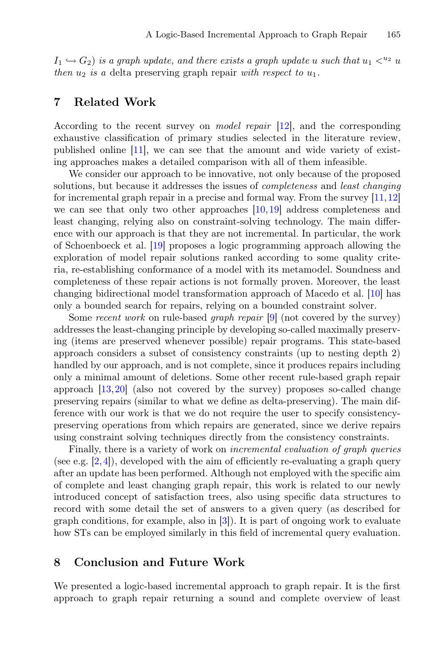$I_1 \hookrightarrow G_2$ ) *is a graph update, and there exists a graph update u such that*  $u_1 <sup>u_2</sup> u$ *then*  $u_2$  *is a* delta preserving graph repair *with respect to*  $u_1$ .

#### <span id="page-14-0"></span>7 Related Work

According to the recent survey on *model repair* [\[12](#page-16-0)], and the corresponding exhaustive classification of primary studies selected in the literature review, published online [\[11\]](#page-16-5), we can see that the amount and wide variety of existing approaches makes a detailed comparison with all of them infeasible.

We consider our approach to be innovative, not only because of the proposed solutions, but because it addresses the issues of *completeness* and *least changing* for incremental graph repair in a precise and formal way. From the survey [\[11,](#page-16-5)[12\]](#page-16-0) we can see that only two other approaches [\[10,](#page-15-5)[19](#page-16-6)] address completeness and least changing, relying also on constraint-solving technology. The main difference with our approach is that they are not incremental. In particular, the work of Schoenboeck et al. [\[19](#page-16-6)] proposes a logic programming approach allowing the exploration of model repair solutions ranked according to some quality criteria, re-establishing conformance of a model with its metamodel. Soundness and completeness of these repair actions is not formally proven. Moreover, the least changing bidirectional model transformation approach of Macedo et al. [\[10\]](#page-15-5) has only a bounded search for repairs, relying on a bounded constraint solver.

Some *recent work* on rule-based *graph repair* [\[9\]](#page-15-6) (not covered by the survey) addresses the least-changing principle by developing so-called maximally preserving (items are preserved whenever possible) repair programs. This state-based approach considers a subset of consistency constraints (up to nesting depth 2) handled by our approach, and is not complete, since it produces repairs including only a minimal amount of deletions. Some other recent rule-based graph repair approach [\[13,](#page-16-7)[20\]](#page-16-8) (also not covered by the survey) proposes so-called change preserving repairs (similar to what we define as delta-preserving). The main difference with our work is that we do not require the user to specify consistencypreserving operations from which repairs are generated, since we derive repairs using constraint solving techniques directly from the consistency constraints.

Finally, there is a variety of work on *incremental evaluation of graph queries* (see e.g.  $[2,4]$  $[2,4]$ ), developed with the aim of efficiently re-evaluating a graph query after an update has been performed. Although not employed with the specific aim of complete and least changing graph repair, this work is related to our newly introduced concept of satisfaction trees, also using specific data structures to record with some detail the set of answers to a given query (as described for graph conditions, for example, also in [\[3](#page-15-9)]). It is part of ongoing work to evaluate how STs can be employed similarly in this field of incremental query evaluation.

#### <span id="page-14-1"></span>8 Conclusion and Future Work

We presented a logic-based incremental approach to graph repair. It is the first approach to graph repair returning a sound and complete overview of least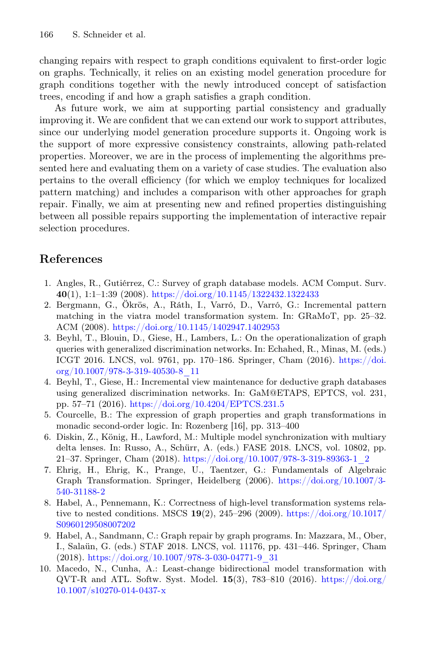changing repairs with respect to graph conditions equivalent to first-order logic on graphs. Technically, it relies on an existing model generation procedure for graph conditions together with the newly introduced concept of satisfaction trees, encoding if and how a graph satisfies a graph condition.

As future work, we aim at supporting partial consistency and gradually improving it. We are confident that we can extend our work to support attributes, since our underlying model generation procedure supports it. Ongoing work is the support of more expressive consistency constraints, allowing path-related properties. Moreover, we are in the process of implementing the algorithms presented here and evaluating them on a variety of case studies. The evaluation also pertains to the overall efficiency (for which we employ techniques for localized pattern matching) and includes a comparison with other approaches for graph repair. Finally, we aim at presenting new and refined properties distinguishing between all possible repairs supporting the implementation of interactive repair selection procedures.

### References

- <span id="page-15-1"></span>1. Angles, R., Gutiérrez, C.: Survey of graph database models. ACM Comput. Surv. 40(1), 1:1–1:39 (2008). <https://doi.org/10.1145/1322432.1322433>
- <span id="page-15-7"></span>2. Bergmann, G., Ökrös, A., Ráth, I., Varró, D., Varró, G.: Incremental pattern matching in the viatra model transformation system. In: GRaMoT, pp. 25–32. ACM (2008). <https://doi.org/10.1145/1402947.1402953>
- <span id="page-15-9"></span>3. Beyhl, T., Blouin, D., Giese, H., Lambers, L.: On the operationalization of graph queries with generalized discrimination networks. In: Echahed, R., Minas, M. (eds.) ICGT 2016. LNCS, vol. 9761, pp. 170–186. Springer, Cham (2016). [https://doi.](https://doi.org/10.1007/978-3-319-40530-8_11) [org/10.1007/978-3-319-40530-8\\_11](https://doi.org/10.1007/978-3-319-40530-8_11)
- <span id="page-15-8"></span>4. Beyhl, T., Giese, H.: Incremental view maintenance for deductive graph databases using generalized discrimination networks. In: GaM@ETAPS, EPTCS, vol. 231, pp. 57–71 (2016). <https://doi.org/10.4204/EPTCS.231.5>
- <span id="page-15-4"></span>5. Courcelle, B.: The expression of graph properties and graph transformations in monadic second-order logic. In: Rozenberg [16], pp. 313–400
- <span id="page-15-0"></span>6. Diskin, Z., König, H., Lawford, M.: Multiple model synchronization with multiary delta lenses. In: Russo, A., Schürr, A. (eds.) FASE 2018. LNCS, vol. 10802, pp. 21–37. Springer, Cham (2018). [https://doi.org/10.1007/978-3-319-89363-1\\_2](https://doi.org/10.1007/978-3-319-89363-1_2)
- <span id="page-15-2"></span>7. Ehrig, H., Ehrig, K., Prange, U., Taentzer, G.: Fundamentals of Algebraic Graph Transformation. Springer, Heidelberg (2006). [https://doi.org/10.1007/3-](https://doi.org/10.1007/3-540-31188-2) [540-31188-2](https://doi.org/10.1007/3-540-31188-2)
- <span id="page-15-3"></span>8. Habel, A., Pennemann, K.: Correctness of high-level transformation systems relative to nested conditions. MSCS 19(2), 245–296 (2009). [https://doi.org/10.1017/](https://doi.org/10.1017/S0960129508007202) [S0960129508007202](https://doi.org/10.1017/S0960129508007202)
- <span id="page-15-6"></span>9. Habel, A., Sandmann, C.: Graph repair by graph programs. In: Mazzara, M., Ober, I., Salaün, G. (eds.) STAF 2018. LNCS, vol. 11176, pp. 431–446. Springer, Cham  $(2018)$ . [https://doi.org/10.1007/978-3-030-04771-9\\_31](https://doi.org/10.1007/978-3-030-04771-9_31)
- <span id="page-15-5"></span>10. Macedo, N., Cunha, A.: Least-change bidirectional model transformation with QVT-R and ATL. Softw. Syst. Model.  $15(3)$ , 783–810 (2016). [https://doi.org/](https://doi.org/10.1007/s10270-014-0437-x) [10.1007/s10270-014-0437-x](https://doi.org/10.1007/s10270-014-0437-x)